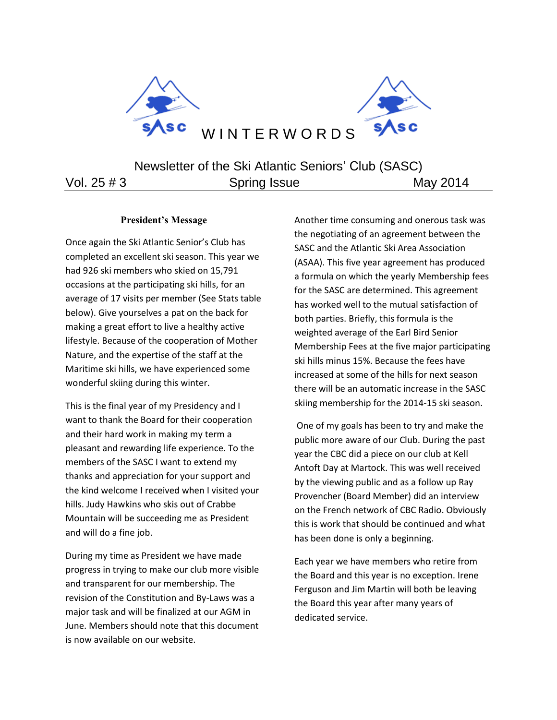

# Newsletter of the Ski Atlantic Seniors' Club (SASC)

Vol. 25 # 3 Spring Issue May 2014

# **President's Message**

Once again the Ski Atlantic Senior's Club has completed an excellent ski season. This year we had 926 ski members who skied on 15,791 occasions at the participating ski hills, for an average of 17 visits per member (See Stats table below). Give yourselves a pat on the back for making a great effort to live a healthy active lifestyle. Because of the cooperation of Mother Nature, and the expertise of the staff at the Maritime ski hills, we have experienced some wonderful skiing during this winter.

This is the final year of my Presidency and I want to thank the Board for their cooperation and their hard work in making my term a pleasant and rewarding life experience. To the members of the SASC I want to extend my thanks and appreciation for your support and the kind welcome I received when I visited your hills. Judy Hawkins who skis out of Crabbe Mountain will be succeeding me as President and will do a fine job.

During my time as President we have made progress in trying to make our club more visible and transparent for our membership. The revision of the Constitution and By-Laws was a major task and will be finalized at our AGM in June. Members should note that this document is now available on our website.

Another time consuming and onerous task was the negotiating of an agreement between the SASC and the Atlantic Ski Area Association (ASAA). This five year agreement has produced a formula on which the yearly Membership fees for the SASC are determined. This agreement has worked well to the mutual satisfaction of both parties. Briefly, this formula is the weighted average of the Earl Bird Senior Membership Fees at the five major participating ski hills minus 15%. Because the fees have increased at some of the hills for next season there will be an automatic increase in the SASC skiing membership for the 2014-15 ski season.

One of my goals has been to try and make the public more aware of our Club. During the past year the CBC did a piece on our club at Kell Antoft Day at Martock. This was well received by the viewing public and as a follow up Ray Provencher (Board Member) did an interview on the French network of CBC Radio. Obviously this is work that should be continued and what has been done is only a beginning.

Each year we have members who retire from the Board and this year is no exception. Irene Ferguson and Jim Martin will both be leaving the Board this year after many years of dedicated service.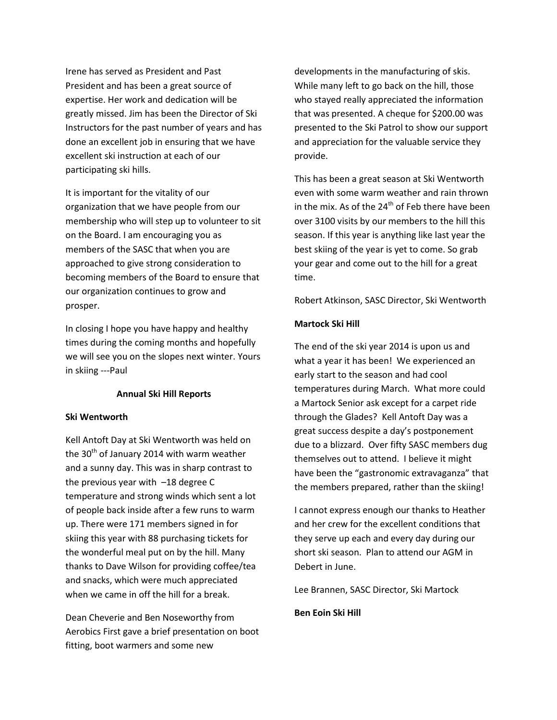Irene has served as President and Past President and has been a great source of expertise. Her work and dedication will be greatly missed. Jim has been the Director of Ski Instructors for the past number of years and has done an excellent job in ensuring that we have excellent ski instruction at each of our participating ski hills.

It is important for the vitality of our organization that we have people from our membership who will step up to volunteer to sit on the Board. I am encouraging you as members of the SASC that when you are approached to give strong consideration to becoming members of the Board to ensure that our organization continues to grow and prosper.

In closing I hope you have happy and healthy times during the coming months and hopefully we will see you on the slopes next winter. Yours in skiing ---Paul

#### **Annual Ski Hill Reports**

#### **Ski Wentworth**

Kell Antoft Day at Ski Wentworth was held on the  $30<sup>th</sup>$  of January 2014 with warm weather and a sunny day. This was in sharp contrast to the previous year with –18 degree C temperature and strong winds which sent a lot of people back inside after a few runs to warm up. There were 171 members signed in for skiing this year with 88 purchasing tickets for the wonderful meal put on by the hill. Many thanks to Dave Wilson for providing coffee/tea and snacks, which were much appreciated when we came in off the hill for a break.

Dean Cheverie and Ben Noseworthy from Aerobics First gave a brief presentation on boot fitting, boot warmers and some new

developments in the manufacturing of skis. While many left to go back on the hill, those who stayed really appreciated the information that was presented. A cheque for \$200.00 was presented to the Ski Patrol to show our support and appreciation for the valuable service they provide.

This has been a great season at Ski Wentworth even with some warm weather and rain thrown in the mix. As of the  $24<sup>th</sup>$  of Feb there have been over 3100 visits by our members to the hill this season. If this year is anything like last year the best skiing of the year is yet to come. So grab your gear and come out to the hill for a great time.

Robert Atkinson, SASC Director, Ski Wentworth

#### **Martock Ski Hill**

The end of the ski year 2014 is upon us and what a year it has been! We experienced an early start to the season and had cool temperatures during March. What more could a Martock Senior ask except for a carpet ride through the Glades? Kell Antoft Day was a great success despite a day's postponement due to a blizzard. Over fifty SASC members dug themselves out to attend. I believe it might have been the "gastronomic extravaganza" that the members prepared, rather than the skiing!

I cannot express enough our thanks to Heather and her crew for the excellent conditions that they serve up each and every day during our short ski season. Plan to attend our AGM in Debert in June.

Lee Brannen, SASC Director, Ski Martock

**Ben Eoin Ski Hill**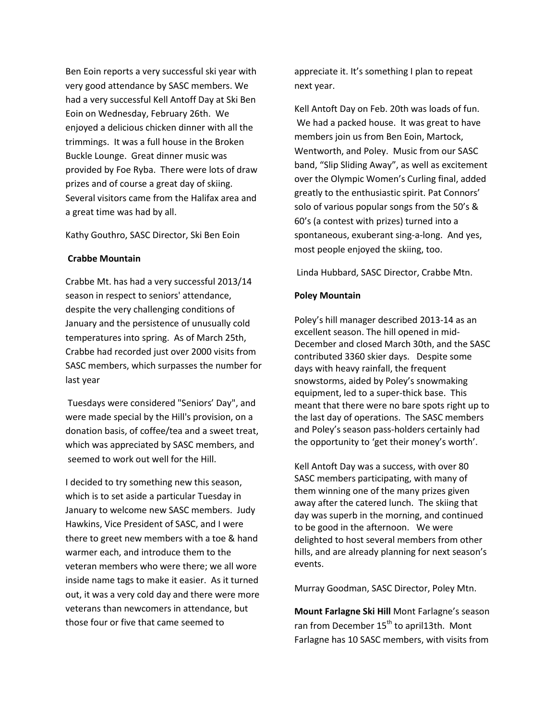Ben Eoin reports a very successful ski year with very good attendance by SASC members. We had a very successful Kell Antoff Day at Ski Ben Eoin on Wednesday, February 26th. We enjoyed a delicious chicken dinner with all the trimmings. It was a full house in the Broken Buckle Lounge. Great dinner music was provided by Foe Ryba. There were lots of draw prizes and of course a great day of skiing. Several visitors came from the Halifax area and a great time was had by all.

### Kathy Gouthro, SASC Director, Ski Ben Eoin

### **Crabbe Mountain**

Crabbe Mt. has had a very successful 2013/14 season in respect to seniors' attendance, despite the very challenging conditions of January and the persistence of unusually cold temperatures into spring. As of March 25th, Crabbe had recorded just over 2000 visits from SASC members, which surpasses the number for last year

Tuesdays were considered "Seniors' Day", and were made special by the Hill's provision, on a donation basis, of coffee/tea and a sweet treat, which was appreciated by SASC members, and seemed to work out well for the Hill.

I decided to try something new this season, which is to set aside a particular Tuesday in January to welcome new SASC members. Judy Hawkins, Vice President of SASC, and I were there to greet new members with a toe & hand warmer each, and introduce them to the veteran members who were there; we all wore inside name tags to make it easier. As it turned out, it was a very cold day and there were more veterans than newcomers in attendance, but those four or five that came seemed to

appreciate it. It's something I plan to repeat next year.

Kell Antoft Day on Feb. 20th was loads of fun. We had a packed house. It was great to have members join us from Ben Eoin, Martock, Wentworth, and Poley. Music from our SASC band, "Slip Sliding Away", as well as excitement over the Olympic Women's Curling final, added greatly to the enthusiastic spirit. Pat Connors' solo of various popular songs from the 50's & 60's (a contest with prizes) turned into a spontaneous, exuberant sing-a-long. And yes, most people enjoyed the skiing, too.

Linda Hubbard, SASC Director, Crabbe Mtn.

## **Poley Mountain**

Poley's hill manager described 2013-14 as an excellent season. The hill opened in mid-December and closed March 30th, and the SASC contributed 3360 skier days. Despite some days with heavy rainfall, the frequent snowstorms, aided by Poley's snowmaking equipment, led to a super-thick base. This meant that there were no bare spots right up to the last day of operations. The SASC members and Poley's season pass-holders certainly had the opportunity to 'get their money's worth'.

Kell Antoft Day was a success, with over 80 SASC members participating, with many of them winning one of the many prizes given away after the catered lunch. The skiing that day was superb in the morning, and continued to be good in the afternoon. We were delighted to host several members from other hills, and are already planning for next season's events.

Murray Goodman, SASC Director, Poley Mtn.

**Mount Farlagne Ski Hill** Mont Farlagne's season ran from December 15<sup>th</sup> to april13th. Mont Farlagne has 10 SASC members, with visits from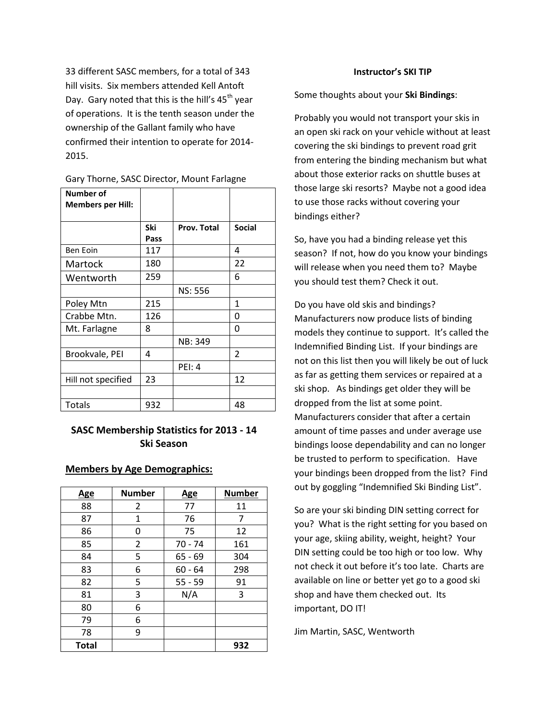33 different SASC members, for a total of 343 hill visits. Six members attended Kell Antoft Day. Gary noted that this is the hill's  $45<sup>th</sup>$  year of operations. It is the tenth season under the ownership of the Gallant family who have confirmed their intention to operate for 2014- 2015.

| <b>Number of</b><br><b>Members per Hill:</b> |             |                |                |
|----------------------------------------------|-------------|----------------|----------------|
|                                              | Ski<br>Pass | Prov. Total    | <b>Social</b>  |
| Ben Eoin                                     | 117         |                | 4              |
| Martock                                      | 180         |                | 22             |
| Wentworth                                    | 259         |                | 6              |
|                                              |             | <b>NS: 556</b> |                |
| Poley Mtn                                    | 215         |                | 1              |
| Crabbe Mtn.                                  | 126         |                | 0              |
| Mt. Farlagne                                 | 8           |                | 0              |
|                                              |             | NB: 349        |                |
| Brookvale, PEI                               | 4           |                | $\overline{2}$ |
|                                              |             | <b>PEI: 4</b>  |                |
| Hill not specified                           | 23          |                | 12             |
|                                              |             |                |                |
| <b>Totals</b>                                | 932         |                | 48             |

Gary Thorne, SASC Director, Mount Farlagne

# **SASC Membership Statistics for 2013 - 14 Ski Season**

### **Members by Age Demographics:**

| <u>Age</u>   | <b>Number</b> | <u>Age</u> | <b>Number</b> |
|--------------|---------------|------------|---------------|
| 88           | 2             | 77         | 11            |
| 87           | 1             | 76         | 7             |
| 86           | 0             | 75         | 12            |
| 85           | 2             | $70 - 74$  | 161           |
| 84           | 5             | $65 - 69$  | 304           |
| 83           | 6             | $60 - 64$  | 298           |
| 82           | 5             | $55 - 59$  | 91            |
| 81           | 3             | N/A        | 3             |
| 80           | 6             |            |               |
| 79           | 6             |            |               |
| 78           | 9             |            |               |
| <b>Total</b> |               |            | 932           |

#### **Instructor's SKI TIP**

Some thoughts about your **Ski Bindings**:

Probably you would not transport your skis in an open ski rack on your vehicle without at least covering the ski bindings to prevent road grit from entering the binding mechanism but what about those exterior racks on shuttle buses at those large ski resorts? Maybe not a good idea to use those racks without covering your bindings either?

So, have you had a binding release yet this season? If not, how do you know your bindings will release when you need them to? Maybe you should test them? Check it out.

Do you have old skis and bindings? Manufacturers now produce lists of binding models they continue to support. It's called the Indemnified Binding List. If your bindings are not on this list then you will likely be out of luck as far as getting them services or repaired at a ski shop. As bindings get older they will be dropped from the list at some point. Manufacturers consider that after a certain amount of time passes and under average use bindings loose dependability and can no longer be trusted to perform to specification. Have your bindings been dropped from the list? Find out by goggling "Indemnified Ski Binding List".

So are your ski binding DIN setting correct for you? What is the right setting for you based on your age, skiing ability, weight, height? Your DIN setting could be too high or too low. Why not check it out before it's too late. Charts are available on line or better yet go to a good ski shop and have them checked out. Its important, DO IT!

Jim Martin, SASC, Wentworth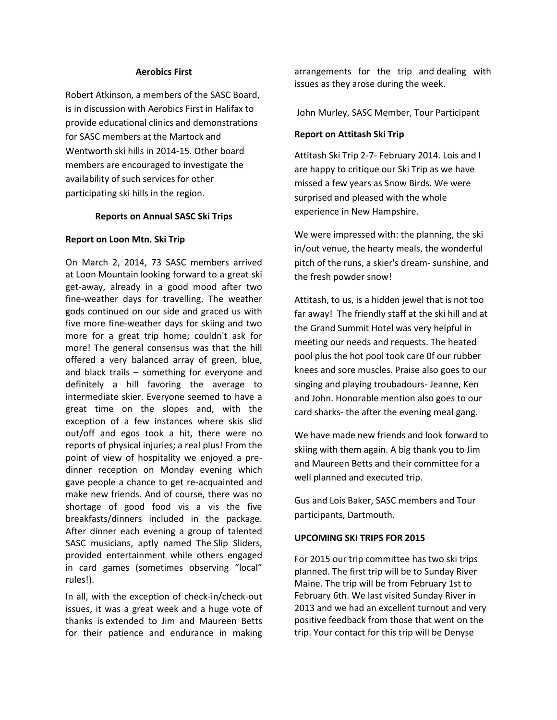## **Aerobics First**

Robert Atkinson, a members of the SASC Board, is in discussion with Aerobics First in Halifax to provide educational clinics and demonstrations for SASC members at the Martock and Wentworth ski hills in 2014-15. Other board members are encouraged to investigate the availability of such services for other participating ski hills in the region.

### **Reports on Annual SASC Ski Trips**

## **Report on Loon Mtn. Ski Trip**

On March 2, 2014, 73 SASC members arrived at Loon Mountain looking forward to a great ski get-away, already in a good mood after two fine-weather days for travelling. The weather gods continued on our side and graced us with five more fine-weather days for skiing and two more for a great trip home; couldn't ask for more! The general consensus was that the hill offered a very balanced array of green, blue, and black trails – something for everyone and definitely a hill favoring the average to intermediate skier. Everyone seemed to have a great time on the slopes and, with the exception of a few instances where skis slid out/off and egos took a hit, there were no reports of physical injuries; a real plus! From the point of view of hospitality we enjoyed a predinner reception on Monday evening which gave people a chance to get re-acquainted and make new friends. And of course, there was no shortage of good food vis a vis the five breakfasts/dinners included in the package. After dinner each evening a group of talented SASC musicians, aptly named The Slip Sliders, provided entertainment while others engaged in card games (sometimes observing "local" rules!).

In all, with the exception of check-in/check-out issues, it was a great week and a huge vote of thanks is extended to Jim and Maureen Betts for their patience and endurance in making

arrangements for the trip and dealing with issues as they arose during the week.

John Murley, SASC Member, Tour Participant

## **Report on Attitash Ski Trip**

Attitash Ski Trip 2-7- February 2014. Lois and I are happy to critique our Ski Trip as we have missed a few years as Snow Birds. We were surprised and pleased with the whole experience in New Hampshire.

We were impressed with: the planning, the ski in/out venue, the hearty meals, the wonderful pitch of the runs, a skier's dream- sunshine, and the fresh powder snow!

Attitash, to us, is a hidden jewel that is not too far away! The friendly staff at the ski hill and at the Grand Summit Hotel was very helpful in meeting our needs and requests. The heated pool plus the hot pool took care 0f our rubber knees and sore muscles. Praise also goes to our singing and playing troubadours- Jeanne, Ken and John. Honorable mention also goes to our card sharks- the after the evening meal gang.

We have made new friends and look forward to skiing with them again. A big thank you to Jim and Maureen Betts and their committee for a well planned and executed trip.

Gus and Lois Baker, SASC members and Tour participants, Dartmouth.

# **UPCOMING SKI TRIPS FOR 2015**

For 2015 our trip committee has two ski trips planned. The first trip will be to Sunday River Maine. The trip will be from February 1st to February 6th. We last visited Sunday River in 2013 and we had an excellent turnout and very positive feedback from those that went on the trip. Your contact for this trip will be Denyse